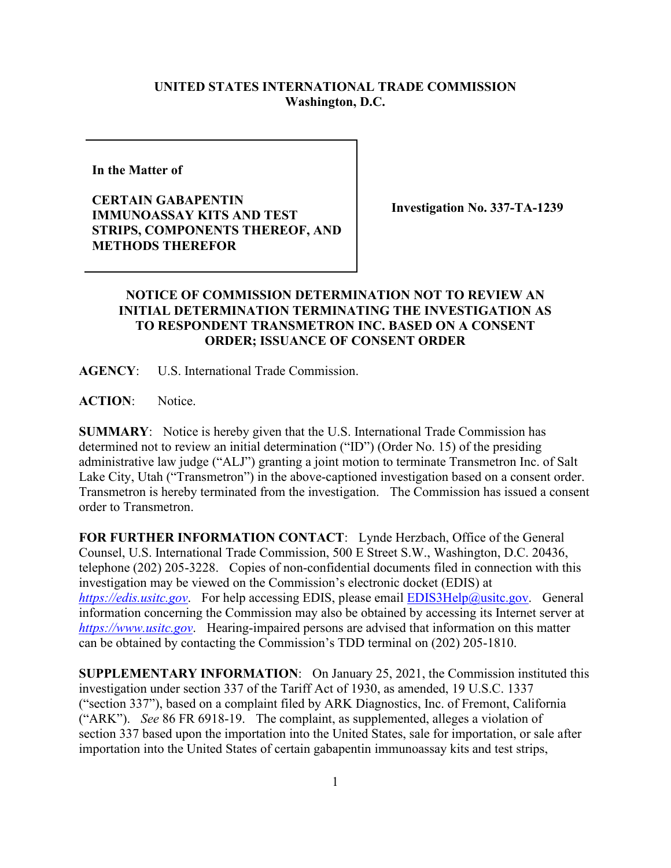## **UNITED STATES INTERNATIONAL TRADE COMMISSION Washington, D.C.**

**In the Matter of** 

**CERTAIN GABAPENTIN IMMUNOASSAY KITS AND TEST STRIPS, COMPONENTS THEREOF, AND METHODS THEREFOR**

**Investigation No. 337-TA-1239**

## **NOTICE OF COMMISSION DETERMINATION NOT TO REVIEW AN INITIAL DETERMINATION TERMINATING THE INVESTIGATION AS TO RESPONDENT TRANSMETRON INC. BASED ON A CONSENT ORDER; ISSUANCE OF CONSENT ORDER**

**AGENCY**: U.S. International Trade Commission.

**ACTION**: Notice.

**SUMMARY**: Notice is hereby given that the U.S. International Trade Commission has determined not to review an initial determination ("ID") (Order No. 15) of the presiding administrative law judge ("ALJ") granting a joint motion to terminate Transmetron Inc. of Salt Lake City, Utah ("Transmetron") in the above-captioned investigation based on a consent order. Transmetron is hereby terminated from the investigation. The Commission has issued a consent order to Transmetron.

**FOR FURTHER INFORMATION CONTACT**: Lynde Herzbach, Office of the General Counsel, U.S. International Trade Commission, 500 E Street S.W., Washington, D.C. 20436, telephone (202) 205-3228. Copies of non-confidential documents filed in connection with this investigation may be viewed on the Commission's electronic docket (EDIS) at *[https://edis.usitc.gov](https://edis.usitc.gov/).* For help accessing EDIS, please email [EDIS3Help@usitc.gov.](mailto:EDIS3Help@usitc.gov) General information concerning the Commission may also be obtained by accessing its Internet server at *[https://www.usitc.gov](https://www.usitc.gov/)*. Hearing-impaired persons are advised that information on this matter can be obtained by contacting the Commission's TDD terminal on (202) 205-1810.

**SUPPLEMENTARY INFORMATION**: On January 25, 2021, the Commission instituted this investigation under section 337 of the Tariff Act of 1930, as amended, 19 U.S.C. 1337 ("section 337"), based on a complaint filed by ARK Diagnostics, Inc. of Fremont, California ("ARK"). *See* 86 FR 6918-19. The complaint, as supplemented, alleges a violation of section 337 based upon the importation into the United States, sale for importation, or sale after importation into the United States of certain gabapentin immunoassay kits and test strips,